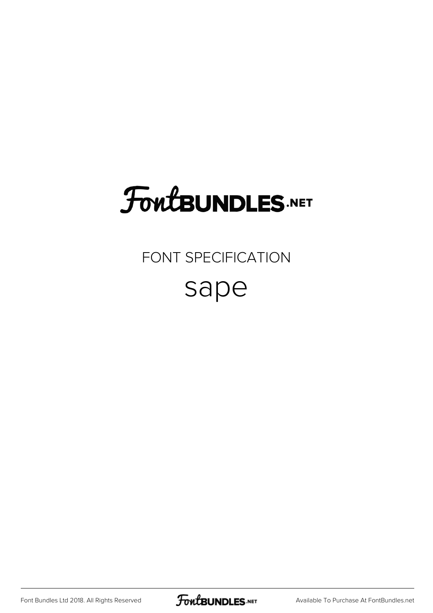## **FoutBUNDLES.NET**

#### FONT SPECIFICATION

#### sape

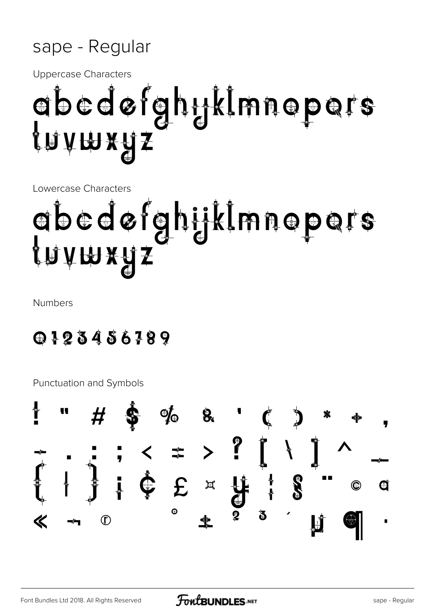#### sape - Regular

**Uppercase Characters** 

## abedøfghyklmnopers {n∧m¥ñs

Lowercase Characters

# abedøfghijklmnepers {n`∧m xñ S

**Numbers** 

0123456789

**Punctuation and Symbols** 

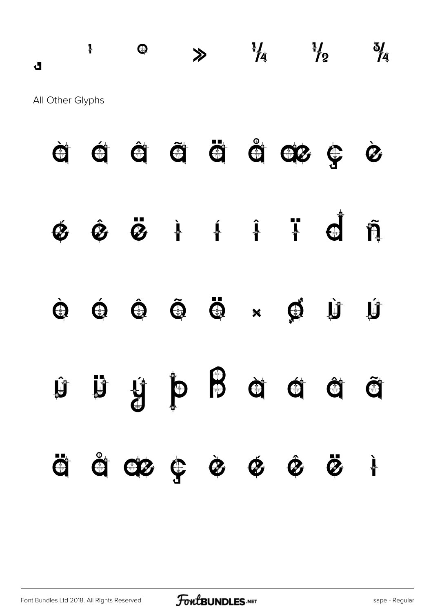### $\frac{1}{4}$  a  $\frac{1}{4}$   $\frac{1}{4}$   $\frac{1}{4}$   $\frac{1}{4}$   $\frac{1}{4}$ All Other Glyphs

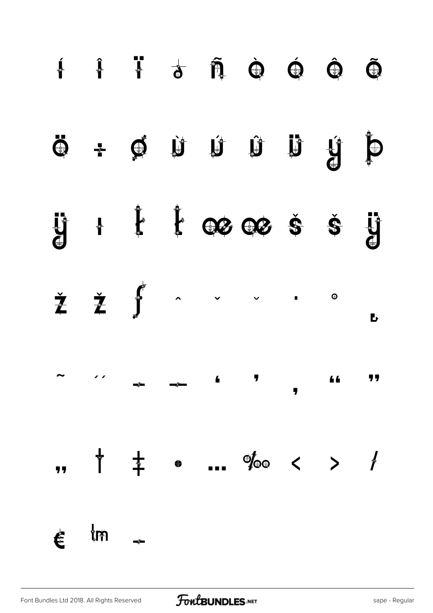